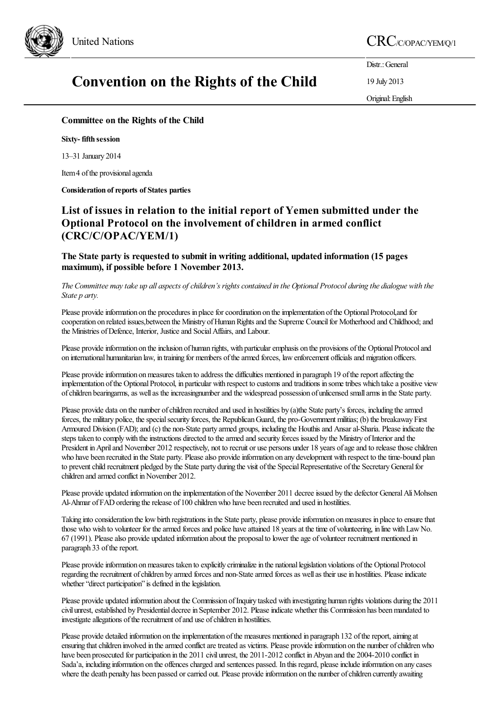

## **Convention on the Rights of the Child**

United Nations CRC/C/OPAC/YEM/Q/1

Distr.: General

19 July 2013

Original:English

## **Committee on the Rights of the Child**

**Sixty- fifth session**

13–31 January 2014

Item 4 of the provisional agenda

**Consideration** of reports of States parties

## **List of issues in relation to the initial report of Yemen submitted under the Optional Protocol on the involvement of children in armed conflict (CRC/C/OPAC/YEM/1)**

**The State party is requested to submit in writing additional, updated information (15 pages maximum), if possible before 1 November 2013.**

The Committee may take up all aspects of children's rights contained in the Optional Protocol during the dialogue with the *State p arty.*

Please provide information on the procedures in place for coordination on the implementation of the Optional Protocol,and for cooperation on related issues, between the Ministry of Human Rights and the Supreme Council for Motherhood and Childhood; and the Ministries of Defence, Interior, Justice and Social Affairs, and Labour.

Please provide information on the inclusion of human rights, with particular emphasis on the provisions of the Optional Protocol and on international humanitarian law, in training for members ofthearmed forces, lawenforcement officialsand migration officers.

Please provide information on measures taken to address the difficulties mentioned in paragraph 19 of the report affecting the implementation of the Optional Protocol, in particular with respect to customs and traditions in some tribes which take a positive view of children bearingarms, as well as the increasingnumber and the widespread possession of unlicensed small arms in the State party.

Please provide data on the number of children recruited and used in hostilities by (a)the State party's forces, including the armed forces, the military police, the special security forces, the Republican Guard, the pro-Government militias; (b) the breakaway First Armoured Division (FAD); and (c) the non-State party armed groups, including the Houthis and Ansar al-Sharia. Please indicate the steps taken to comply with the instructions directed to the armed and security forces issued by the Ministry of Interior and the President in April and November 2012 respectively, not to recruit or use persons under 18 years of age and to release those children who have been recruited in the State party. Please also provide information on any development with respect to the time-bound plan to prevent child recruitment pledged by the State party during the visit of the Special Representative of the Secretary General for children and armed conflict in November 2012.

Please provide updated information on the implementation of the November 2011 decree issued by the defector General Ali Mohsen Al-Ahmar of FAD ordering the release of 100 children who have been recruited and used in hostilities.

Taking into consideration the low birth registrations in the State party, please provide information on measures in place to ensure that those who wish to volunteer for the armed forces and police have attained 18 years at the time of volunteering, in line with Law No. 67 (1991). Please also provide updated information about the proposal to lower the age of volunteer recruitment mentioned in paragraph 33 of the report.

Please provide information on measures taken to explicitly criminalize in the national legislation violations of the Optional Protocol regarding the recruitment of children by armed forces and non-State armed forces as well as their use in hostilities. Please indicate whether "direct participation" is defined in the legislation.

Please provide updated information about the Commission of Inquiry tasked with investigating human rights violations during the 2011 civil unrest, established by Presidential decree in September 2012. Please indicate whether this Commission has been mandated to investigate allegations of the recruitment of and use of children in hostilities.

Please provide detailed information on the implementation of the measures mentioned in paragraph 132 of the report, aiming at ensuring that children involved in the armed conflict are treated as victims. Please provide information on the number of children who have been prosecuted for participation in the 2011 civil unrest, the 2011-2012 conflict in Abyan and the 2004-2010 conflict in Sada'a, including information on the offences charged and sentences passed. In this regard, please include information on any cases where the death penalty has been passed or carried out. Please provide information on the number of children currently awaiting